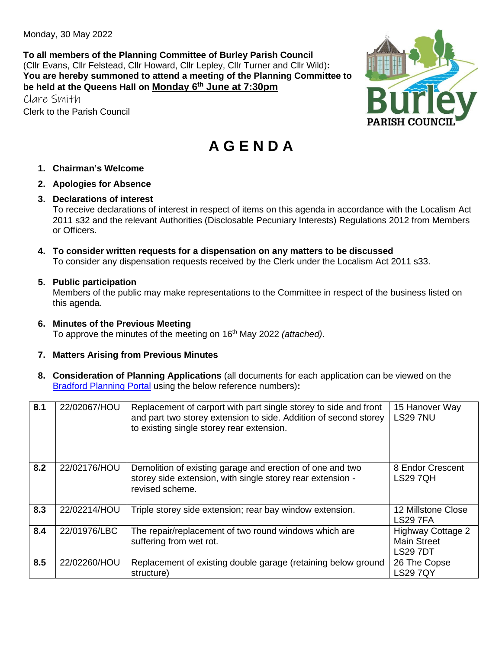Monday, 30 May 2022

**To all members of the Planning Committee of Burley Parish Council** (Cllr Evans, Cllr Felstead, Cllr Howard, Cllr Lepley, Cllr Turner and Cllr Wild)**: You are hereby summoned to attend a meeting of the Planning Committee to be held at the Queens Hall on Monday 6 th June at 7:30pm**

Clare Smith Clerk to the Parish Council



# **A G E N D A**

- **1. Chairman's Welcome**
- **2. Apologies for Absence**
- **3. Declarations of interest**

To receive declarations of interest in respect of items on this agenda in accordance with the Localism Act 2011 s32 and the relevant Authorities (Disclosable Pecuniary Interests) Regulations 2012 from Members or Officers.

**4. To consider written requests for a dispensation on any matters to be discussed**  To consider any dispensation requests received by the Clerk under the Localism Act 2011 s33.

#### **5. Public participation**

Members of the public may make representations to the Committee in respect of the business listed on this agenda.

- **6. Minutes of the Previous Meeting**  To approve the minutes of the meeting on 16th May 2022 *(attached)*.
- **7. Matters Arising from Previous Minutes**
- **8. Consideration of Planning Applications** (all documents for each application can be viewed on the [Bradford Planning Portal](https://planning.bradford.gov.uk/online-applications/) using the below reference numbers)**:**

| 8.1 | 22/02067/HOU | Replacement of carport with part single storey to side and front<br>and part two storey extension to side. Addition of second storey<br>to existing single storey rear extension. | 15 Hanover Way<br><b>LS29 7NU</b>                                 |
|-----|--------------|-----------------------------------------------------------------------------------------------------------------------------------------------------------------------------------|-------------------------------------------------------------------|
| 8.2 | 22/02176/HOU | Demolition of existing garage and erection of one and two<br>storey side extension, with single storey rear extension -<br>revised scheme.                                        | 8 Endor Crescent<br><b>LS29 7QH</b>                               |
| 8.3 | 22/02214/HOU | Triple storey side extension; rear bay window extension.                                                                                                                          | 12 Millstone Close<br><b>LS29 7FA</b>                             |
| 8.4 | 22/01976/LBC | The repair/replacement of two round windows which are<br>suffering from wet rot.                                                                                                  | <b>Highway Cottage 2</b><br><b>Main Street</b><br><b>LS29 7DT</b> |
| 8.5 | 22/02260/HOU | Replacement of existing double garage (retaining below ground<br>structure)                                                                                                       | 26 The Copse<br><b>LS29 7QY</b>                                   |